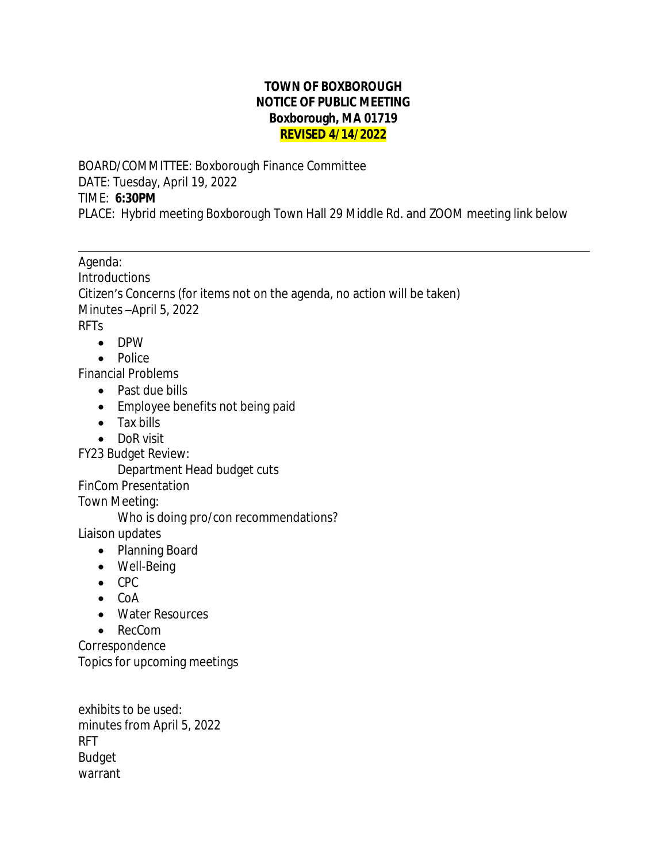## **TOWN OF BOXBOROUGH NOTICE OF PUBLIC MEETING Boxborough, MA 01719 REVISED 4/14/2022**

BOARD/COMMITTEE: Boxborough Finance Committee DATE: Tuesday, April 19, 2022 TIME: **6:30PM** PLACE: Hybrid meeting Boxborough Town Hall 29 Middle Rd. and ZOOM meeting link below

Agenda: **Introductions** Citizen's Concerns (for items not on the agenda, no action will be taken) Minutes –April 5, 2022 RFTs

• DPW

 $\overline{a}$ 

• Police

Financial Problems

- Past due bills
- Employee benefits not being paid
- Tax bills
- DoR visit
- FY23 Budget Review:

Department Head budget cuts

FinCom Presentation

Town Meeting:

Who is doing pro/con recommendations?

Liaison updates

- Planning Board
- Well-Being
- $\bullet$  CPC
- $\bullet$  CoA
- Water Resources
- RecCom

Correspondence Topics for upcoming meetings

exhibits to be used: minutes from April 5, 2022 RFT Budget warrant